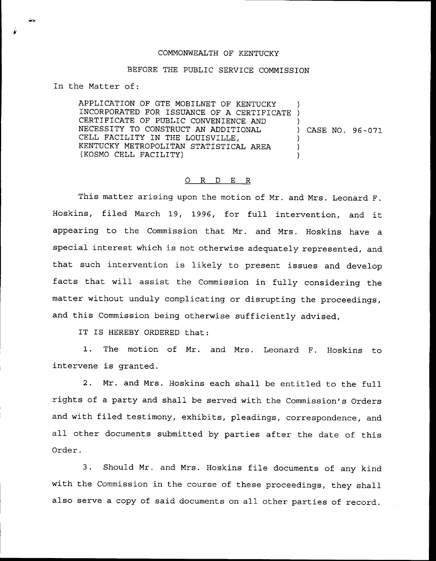## COMMONWEALTH OF KENTUCKY

## BEFORE THE PUBLIC SERVICE COMMISSION

In the Matter of:

APPLICATION OF GTE MOBILNET OF KENTUCKY AFFIICATION OF GIE MOBILNEI OF KENIOCKY CERTIFICATE OF PUBLIC CONVENIENCE AND NECESSITY TO CONSTRUCT AN ADDITIONAL CELL FACILITY IN THE LOUISVILLE, KENTUCKY METROPOLITAN STATISTICAL AREA (KOSMO CELL FACILITY) ) ) ) CASE NO. 96-071 ) ) )

## Q R D E R

This matter arising upon the motion of Mr. and Mrs. Leonard F. Hoskins, filed March 19, 1996, for full intervention, and it appearing to the Commission that Mr. and Mrs. Hoskins have a special interest which is not otherwise adequately represented, and that such intervention is likely to present issues and develop facts that will assist the Commission in fully considering the matter without unduly complicating or disrupting the proceedings, and this Commission being otherwise sufficiently advised,

IT IS HEREBY ORDERED that:

1. The motion of Mr. and Mrs. Leonard F. Hoskins to intervene is granted.

2. Mr. and Mrs. Hoskins each shall be entitled to the full rights of a party and shall be served with the Commission's Orders and with filed testimony, exhibits, pleadings, correspondence, and all other documents submitted by parties after the date of this Order.

3. Should Mr. and Mrs. Hoskins file documents of any kind with the Commission in the course of these proceedings, they shall also serve <sup>a</sup> copy of said documents on all other parties of record.